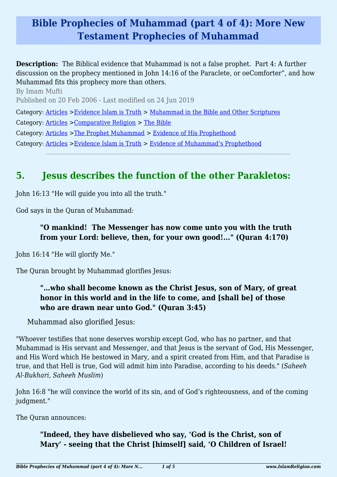## **Bible Prophecies of Muhammad (part 4 of 4): More New Testament Prophecies of Muhammad**

**Description:** The Biblical evidence that Muhammad is not a false prophet. Part 4: A further discussion on the prophecy mentioned in John 14:16 of the Paraclete, or oeComforter", and how Muhammad fits this prophecy more than others.

By Imam Mufti Published on 20 Feb 2006 - Last modified on 24 Jun 2019 Category: [Articles](http://www.islamreligion.com/articles/) >[Evidence Islam is Truth](http://www.islamreligion.com/category/33/) > [Muhammad in the Bible and Other Scriptures](http://www.islamreligion.com/category/36/) Category: [Articles](http://www.islamreligion.com/articles/) >[Comparative Religion](http://www.islamreligion.com/category/68/) > [The Bible](http://www.islamreligion.com/category/70/) Category: [Articles](http://www.islamreligion.com/articles/) >[The Prophet Muhammad](http://www.islamreligion.com/category/79/) > [Evidence of His Prophethood](http://www.islamreligion.com/category/118/) Category: [Articles](http://www.islamreligion.com/articles/) >[Evidence Islam is Truth](http://www.islamreligion.com/category/33/) > [Evidence of Muhammad's Prophethood](http://www.islamreligion.com/category/38/)

# **5. Jesus describes the function of the other Parakletos:**

John 16:13 "He will guide you into all the truth."

God says in the Quran of Muhammad:

#### **"O mankind! The Messenger has now come unto you with the truth from your Lord: believe, then, for your own good!..." (Quran 4:170)**

John 16:14 "He will glorify Me."

The Quran brought by Muhammad glorifies Jesus:

#### **"…who shall become known as the Christ Jesus, son of Mary, of great honor in this world and in the life to come, and [shall be] of those who are drawn near unto God." (Quran 3:45)**

Muhammad also glorified Jesus:

"Whoever testifies that none deserves worship except God, who has no partner, and that Muhammad is His servant and Messenger, and that Jesus is the servant of God, His Messenger, and His Word which He bestowed in Mary, and a spirit created from Him, and that Paradise is true, and that Hell is true, God will admit him into Paradise, according to his deeds." (*Saheeh Al-Bukhari, Saheeh Muslim*)

John 16:8 "he will convince the world of its sin, and of God's righteousness, and of the coming judgment."

The Quran announces:

#### **"Indeed, they have disbelieved who say, 'God is the Christ, son of Mary' - seeing that the Christ [himself] said, 'O Children of Israel!**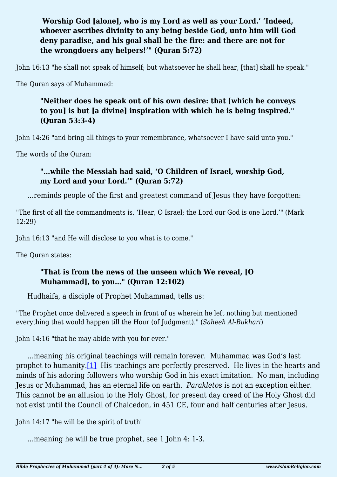#### **Worship God [alone], who is my Lord as well as your Lord.' 'Indeed, whoever ascribes divinity to any being beside God, unto him will God deny paradise, and his goal shall be the fire: and there are not for the wrongdoers any helpers!'" (Quran 5:72)**

John 16:13 "he shall not speak of himself; but whatsoever he shall hear, [that] shall he speak."

The Quran says of Muhammad:

#### **"Neither does he speak out of his own desire: that [which he conveys to you] is but [a divine] inspiration with which he is being inspired." (Quran 53:3-4)**

John 14:26 "and bring all things to your remembrance, whatsoever I have said unto you."

The words of the Quran:

#### **"…while the Messiah had said, 'O Children of Israel, worship God, my Lord and your Lord.'" (Quran 5:72)**

…reminds people of the first and greatest command of Jesus they have forgotten:

"The first of all the commandments is, 'Hear, O Israel; the Lord our God is one Lord.'" (Mark 12:29)

John 16:13 "and He will disclose to you what is to come."

The Quran states:

#### **"That is from the news of the unseen which We reveal, [O Muhammad], to you…" (Quran 12:102)**

Hudhaifa, a disciple of Prophet Muhammad, tells us:

"The Prophet once delivered a speech in front of us wherein he left nothing but mentioned everything that would happen till the Hour (of Judgment)." (*Saheeh Al-Bukhari*)

John 14:16 "that he may abide with you for ever."

<span id="page-1-0"></span>…meaning his original teachings will remain forever. Muhammad was God's last prophet to humanity.[\[1\]](#page-3-0) His teachings are perfectly preserved. He lives in the hearts and minds of his adoring followers who worship God in his exact imitation. No man, including Jesus or Muhammad, has an eternal life on earth. *Parakletos* is not an exception either. This cannot be an allusion to the Holy Ghost, for present day creed of the Holy Ghost did not exist until the Council of Chalcedon, in 451 CE, four and half centuries after Jesus.

John 14:17 "he will be the spirit of truth"

…meaning he will be true prophet, see 1 John 4: 1-3.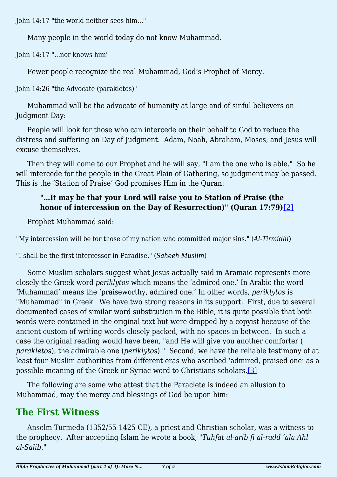John 14:17 "the world neither sees him..."

Many people in the world today do not know Muhammad.

John 14:17 "...nor knows him"

Fewer people recognize the real Muhammad, God's Prophet of Mercy.

John 14:26 "the Advocate (parakletos)"

Muhammad will be the advocate of humanity at large and of sinful believers on Judgment Day:

People will look for those who can intercede on their behalf to God to reduce the distress and suffering on Day of Judgment. Adam, Noah, Abraham, Moses, and Jesus will excuse themselves.

Then they will come to our Prophet and he will say, "I am the one who is able." So he will intercede for the people in the Great Plain of Gathering, so judgment may be passed. This is the 'Station of Praise' God promises Him in the Quran:

### **"…It may be that your Lord will raise you to Station of Praise (the honor of intercession on the Day of Resurrection)" (Quran 17:79[\)\[2\]](#page-3-1)**

<span id="page-2-0"></span>Prophet Muhammad said:

"My intercession will be for those of my nation who committed major sins." (*Al-Tirmidhi*)

"I shall be the first intercessor in Paradise." (*Saheeh Muslim*)

Some Muslim scholars suggest what Jesus actually said in Aramaic represents more closely the Greek word *periklytos* which means the 'admired one.' In Arabic the word 'Muhammad' means the 'praiseworthy, admired one.' In other words, *periklytos* is "Muhammad" in Greek. We have two strong reasons in its support. First, due to several documented cases of similar word substitution in the Bible, it is quite possible that both words were contained in the original text but were dropped by a copyist because of the ancient custom of writing words closely packed, with no spaces in between. In such a case the original reading would have been, "and He will give you another comforter ( *parakletos*), the admirable one (*periklytos*)." Second, we have the reliable testimony of at least four Muslim authorities from different eras who ascribed 'admired, praised one' as a possible meaning of the Greek or Syriac word to Christians scholars[.\[3\]](#page-3-2)

<span id="page-2-1"></span>The following are some who attest that the Paraclete is indeed an allusion to Muhammad, may the mercy and blessings of God be upon him:

## **The First Witness**

Anselm Turmeda (1352/55-1425 CE), a priest and Christian scholar, was a witness to the prophecy. After accepting Islam he wrote a book, *"Tuhfat al-arib fi al-radd 'ala Ahl al-Salib."*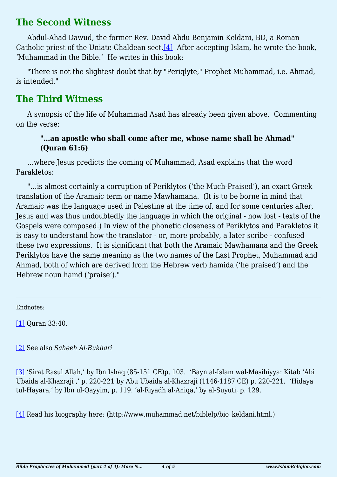### **The Second Witness**

<span id="page-3-4"></span>Abdul-Ahad Dawud, the former Rev. David Abdu Benjamin Keldani, BD, a Roman Catholic priest of the Uniate-Chaldean sect.<sup>[\[4\]](#page-3-3)</sup> After accepting Islam, he wrote the book, 'Muhammad in the Bible.' He writes in this book:

"There is not the slightest doubt that by "Periqlyte," Prophet Muhammad, i.e. Ahmad, is intended."

### **The Third Witness**

A synopsis of the life of Muhammad Asad has already been given above. Commenting on the verse:

#### **"…an apostle who shall come after me, whose name shall be Ahmad" (Quran 61:6)**

…where Jesus predicts the coming of Muhammad, Asad explains that the word Parakletos:

"…is almost certainly a corruption of Periklytos ('the Much-Praised'), an exact Greek translation of the Aramaic term or name Mawhamana. (It is to be borne in mind that Aramaic was the language used in Palestine at the time of, and for some centuries after, Jesus and was thus undoubtedly the language in which the original - now lost - texts of the Gospels were composed.) In view of the phonetic closeness of Periklytos and Parakletos it is easy to understand how the translator - or, more probably, a later scribe - confused these two expressions. It is significant that both the Aramaic Mawhamana and the Greek Periklytos have the same meaning as the two names of the Last Prophet, Muhammad and Ahmad, both of which are derived from the Hebrew verb hamida ('he praised') and the Hebrew noun hamd ('praise')."

Endnotes:

<span id="page-3-0"></span>[\[1\]](#page-1-0) Quran 33:40.

<span id="page-3-1"></span>[\[2\]](#page-2-0) See also *Saheeh Al-Bukhari*

<span id="page-3-2"></span>[\[3\]](#page-2-1) 'Sirat Rasul Allah,' by Ibn Ishaq (85-151 CE)p, 103. 'Bayn al-Islam wal-Masihiyya: Kitab 'Abi Ubaida al-Khazraji ,' p. 220-221 by Abu Ubaida al-Khazraji (1146-1187 CE) p. 220-221. 'Hidaya tul-Hayara,' by Ibn ul-Qayyim, p. 119. 'al-Riyadh al-Aniqa,' by al-Suyuti, p. 129.

<span id="page-3-3"></span>[\[4\]](#page-3-4) Read his biography here: (http://www.muhammad.net/biblelp/bio\_keldani.html.)